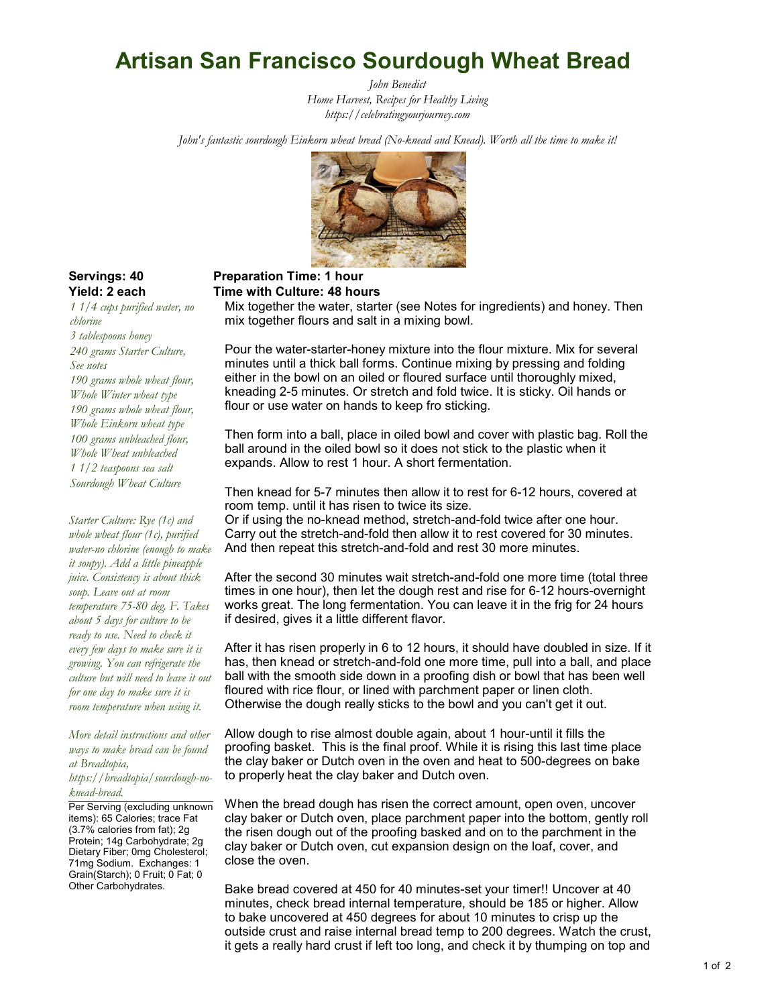# Artisan San Francisco Sourdough Wheat Bread

John Benedict *Home Harvest, Recipes for Healthy Living <https://celebratingyourjourney.com>*

John's fantastic sourdough Einkorn wheat bread (No-knead and Knead). Worth all the time to make it!



1 1/4 cups purified water, no chlorine 3 tablespoons honey 240 grams Starter Culture, See notes 190 grams whole wheat flour, Whole Winter wheat type 190 grams whole wheat flour, Whole Einkorn wheat type 100 grams unbleached flour, Whole Wheat unbleached 1 1/2 teaspoons sea salt Sourdough Wheat Culture

Starter Culture: Rye (1c) and whole wheat flour (1c), purified water-no chlorine (enough to make it soupy). Add a little pineapple juice. Consistency is about thick soup. Leave out at room temperature 75-80 deg. F. Takes about 5 days for culture to be ready to use. Need to check it every few days to make sure it is growing. You can refrigerate the culture but will need to leave it out for one day to make sure it is room temperature when using it.

More detail instructions and other ways to make bread can be found at Breadtopia,

https://breadtopia/sourdough-noknead-bread.

Per Serving (excluding unknown items): 65 Calories; trace Fat (3.7% calories from fat); 2g Protein; 14g Carbohydrate; 2g Dietary Fiber; 0mg Cholesterol; 71mg Sodium. Exchanges: 1 Grain(Starch); 0 Fruit; 0 Fat; 0 Other Carbohydrates.

#### Servings: 40 Preparation Time: 1 hour Yield: 2 each Time with Culture: 48 hours

Mix together the water, starter (see Notes for ingredients) and honey. Then mix together flours and salt in a mixing bowl.

Pour the water-starter-honey mixture into the flour mixture. Mix for several minutes until a thick ball forms. Continue mixing by pressing and folding either in the bowl on an oiled or floured surface until thoroughly mixed, kneading 2-5 minutes. Or stretch and fold twice. It is sticky. Oil hands or flour or use water on hands to keep fro sticking.

Then form into a ball, place in oiled bowl and cover with plastic bag. Roll the ball around in the oiled bowl so it does not stick to the plastic when it expands. Allow to rest 1 hour. A short fermentation.

Then knead for 5-7 minutes then allow it to rest for 6-12 hours, covered at room temp. until it has risen to twice its size.

Or if using the no-knead method, stretch-and-fold twice after one hour. Carry out the stretch-and-fold then allow it to rest covered for 30 minutes. And then repeat this stretch-and-fold and rest 30 more minutes.

After the second 30 minutes wait stretch-and-fold one more time (total three times in one hour), then let the dough rest and rise for 6-12 hours-overnight works great. The long fermentation. You can leave it in the frig for 24 hours if desired, gives it a little different flavor.

After it has risen properly in 6 to 12 hours, it should have doubled in size. If it has, then knead or stretch-and-fold one more time, pull into a ball, and place ball with the smooth side down in a proofing dish or bowl that has been well floured with rice flour, or lined with parchment paper or linen cloth. Otherwise the dough really sticks to the bowl and you can't get it out.

Allow dough to rise almost double again, about 1 hour-until it fills the proofing basket. This is the final proof. While it is rising this last time place the clay baker or Dutch oven in the oven and heat to 500-degrees on bake to properly heat the clay baker and Dutch oven.

When the bread dough has risen the correct amount, open oven, uncover clay baker or Dutch oven, place parchment paper into the bottom, gently roll the risen dough out of the proofing basked and on to the parchment in the clay baker or Dutch oven, cut expansion design on the loaf, cover, and close the oven.

Bake bread covered at 450 for 40 minutes-set your timer!! Uncover at 40 minutes, check bread internal temperature, should be 185 or higher. Allow to bake uncovered at 450 degrees for about 10 minutes to crisp up the outside crust and raise internal bread temp to 200 degrees. Watch the crust, it gets a really hard crust if left too long, and check it by thumping on top and